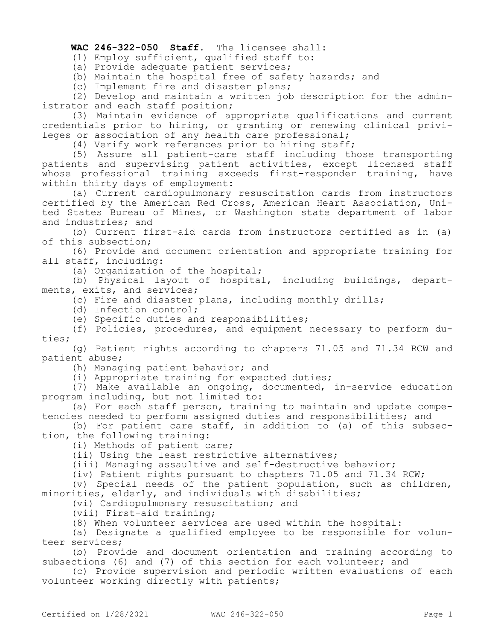## **WAC 246-322-050 Staff.** The licensee shall:

(1) Employ sufficient, qualified staff to:

(a) Provide adequate patient services;

(b) Maintain the hospital free of safety hazards; and

(c) Implement fire and disaster plans;

(2) Develop and maintain a written job description for the administrator and each staff position;

(3) Maintain evidence of appropriate qualifications and current credentials prior to hiring, or granting or renewing clinical privileges or association of any health care professional;

(4) Verify work references prior to hiring staff;

(5) Assure all patient-care staff including those transporting patients and supervising patient activities, except licensed staff whose professional training exceeds first-responder training, have within thirty days of employment:

(a) Current cardiopulmonary resuscitation cards from instructors certified by the American Red Cross, American Heart Association, United States Bureau of Mines, or Washington state department of labor and industries; and

(b) Current first-aid cards from instructors certified as in (a) of this subsection;

(6) Provide and document orientation and appropriate training for all staff, including:

(a) Organization of the hospital;

(b) Physical layout of hospital, including buildings, departments, exits, and services;

(c) Fire and disaster plans, including monthly drills;

(d) Infection control;

(e) Specific duties and responsibilities;

(f) Policies, procedures, and equipment necessary to perform duties;

(g) Patient rights according to chapters 71.05 and 71.34 RCW and patient abuse;

(h) Managing patient behavior; and

(i) Appropriate training for expected duties;

(7) Make available an ongoing, documented, in-service education program including, but not limited to:

(a) For each staff person, training to maintain and update competencies needed to perform assigned duties and responsibilities; and

(b) For patient care staff, in addition to (a) of this subsection, the following training:

(i) Methods of patient care;

(ii) Using the least restrictive alternatives;

(iii) Managing assaultive and self-destructive behavior;

(iv) Patient rights pursuant to chapters 71.05 and 71.34 RCW;

(v) Special needs of the patient population, such as children, minorities, elderly, and individuals with disabilities;

(vi) Cardiopulmonary resuscitation; and

(vii) First-aid training;

(8) When volunteer services are used within the hospital:

(a) Designate a qualified employee to be responsible for volunteer services;

(b) Provide and document orientation and training according to subsections (6) and (7) of this section for each volunteer; and

(c) Provide supervision and periodic written evaluations of each volunteer working directly with patients;